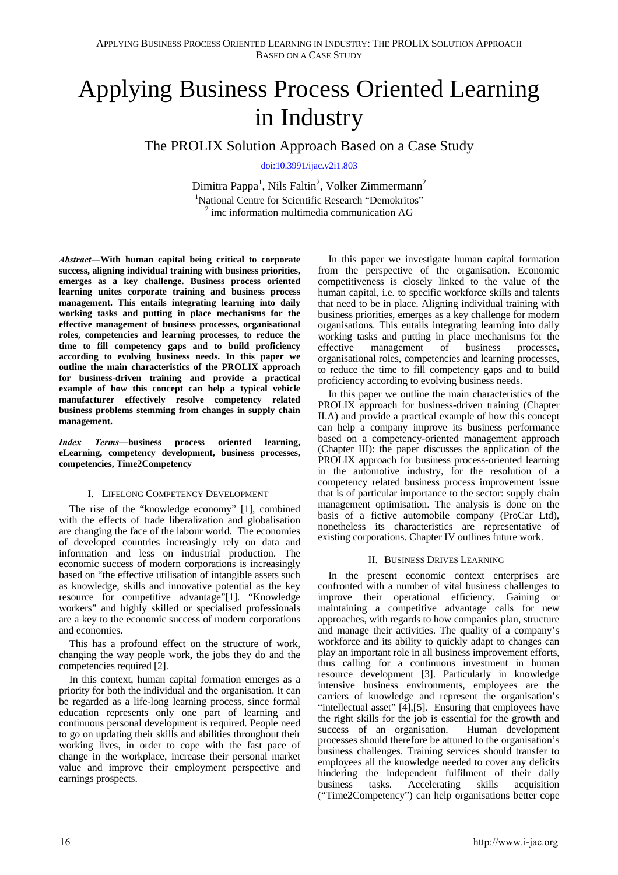# Applying Business Process Oriented Learning in Industry

The PROLIX Solution Approach Based on a Case Study

[doi:10.3991/ijac.v2i1.803](http://dx.doi.org/10.3991/ijac.v2i1.803)

Dimitra Pappa<sup>1</sup>, Nils Faltin<sup>2</sup>, Volker Zimmermann<sup>2</sup> <sup>1</sup>National Centre for Scientific Research "Demokritos" 2 imc information multimedia communication AG

*Abstract―***With human capital being critical to corporate success, aligning individual training with business priorities, emerges as a key challenge. Business process oriented learning unites corporate training and business process management. This entails integrating learning into daily working tasks and putting in place mechanisms for the effective management of business processes, organisational roles, competencies and learning processes, to reduce the time to fill competency gaps and to build proficiency according to evolving business needs. In this paper we outline the main characteristics of the PROLIX approach for business-driven training and provide a practical example of how this concept can help a typical vehicle manufacturer effectively resolve competency related business problems stemming from changes in supply chain management.** 

*Index Terms***—business process oriented learning, eLearning, competency development, business processes, competencies, Time2Competency** 

#### I. LIFELONG COMPETENCY DEVELOPMENT

The rise of the "knowledge economy" [1], combined with the effects of trade liberalization and globalisation are changing the face of the labour world. The economies of developed countries increasingly rely on data and information and less on industrial production. The economic success of modern corporations is increasingly based on "the effective utilisation of intangible assets such as knowledge, skills and innovative potential as the key resource for competitive advantage"[1]. "Knowledge workers" and highly skilled or specialised professionals are a key to the economic success of modern corporations and economies.

This has a profound effect on the structure of work, changing the way people work, the jobs they do and the competencies required [2].

In this context, human capital formation emerges as a priority for both the individual and the organisation. It can be regarded as a life-long learning process, since formal education represents only one part of learning and continuous personal development is required. People need to go on updating their skills and abilities throughout their working lives, in order to cope with the fast pace of change in the workplace, increase their personal market value and improve their employment perspective and earnings prospects.

In this paper we investigate human capital formation from the perspective of the organisation. Economic competitiveness is closely linked to the value of the human capital, i.e. to specific workforce skills and talents that need to be in place. Aligning individual training with business priorities, emerges as a key challenge for modern organisations. This entails integrating learning into daily working tasks and putting in place mechanisms for the effective management of business processes. management of business processes, organisational roles, competencies and learning processes, to reduce the time to fill competency gaps and to build proficiency according to evolving business needs.

In this paper we outline the main characteristics of the PROLIX approach for business-driven training (Chapter II.A) and provide a practical example of how this concept can help a company improve its business performance based on a competency-oriented management approach (Chapter III): the paper discusses the application of the PROLIX approach for business process-oriented learning in the automotive industry, for the resolution of a competency related business process improvement issue that is of particular importance to the sector: supply chain management optimisation. The analysis is done on the basis of a fictive automobile company (ProCar Ltd), nonetheless its characteristics are representative of existing corporations. Chapter IV outlines future work.

## II. BUSINESS DRIVES LEARNING

In the present economic context enterprises are confronted with a number of vital business challenges to improve their operational efficiency. Gaining or maintaining a competitive advantage calls for new approaches, with regards to how companies plan, structure and manage their activities. The quality of a company's workforce and its ability to quickly adapt to changes can play an important role in all business improvement efforts, thus calling for a continuous investment in human resource development [3]. Particularly in knowledge intensive business environments, employees are the carriers of knowledge and represent the organisation's "intellectual asset" [4],[5]. Ensuring that employees have the right skills for the job is essential for the growth and success of an organisation. Human development processes should therefore be attuned to the organisation's business challenges. Training services should transfer to employees all the knowledge needed to cover any deficits hindering the independent fulfilment of their daily business tasks. Accelerating skills acquisition ("Time2Competency") can help organisations better cope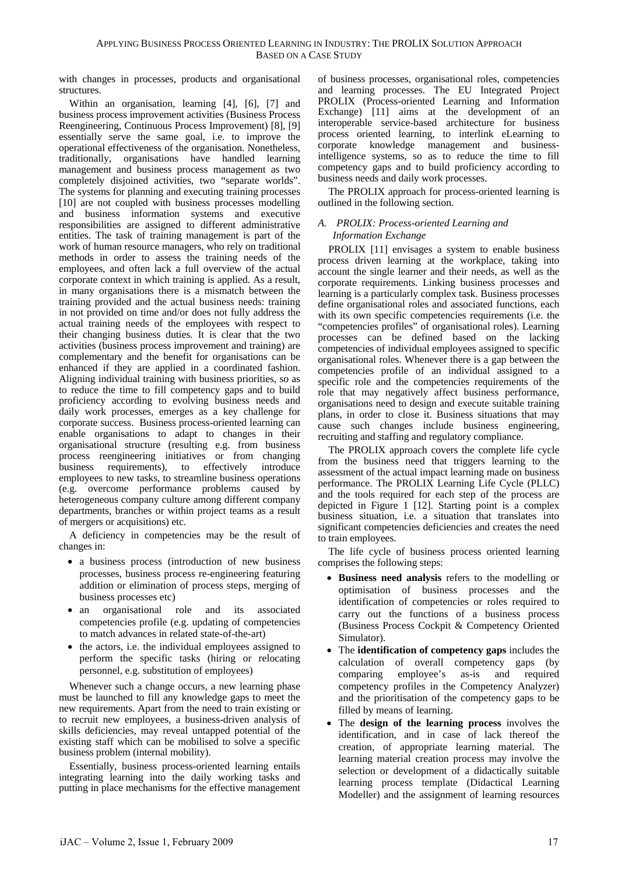with changes in processes, products and organisational structures.

Within an organisation, learning [4], [6], [7] and business process improvement activities (Business Process Reengineering, Continuous Process Improvement) [8], [9] essentially serve the same goal, i.e. to improve the operational effectiveness of the organisation. Nonetheless, traditionally, organisations have handled learning management and business process management as two completely disjoined activities, two "separate worlds". The systems for planning and executing training processes [10] are not coupled with business processes modelling and business information systems and executive responsibilities are assigned to different administrative entities. The task of training management is part of the work of human resource managers, who rely on traditional methods in order to assess the training needs of the employees, and often lack a full overview of the actual corporate context in which training is applied. As a result, in many organisations there is a mismatch between the training provided and the actual business needs: training in not provided on time and/or does not fully address the actual training needs of the employees with respect to their changing business duties. It is clear that the two activities (business process improvement and training) are complementary and the benefit for organisations can be enhanced if they are applied in a coordinated fashion. Aligning individual training with business priorities, so as to reduce the time to fill competency gaps and to build proficiency according to evolving business needs and daily work processes, emerges as a key challenge for corporate success. Business process-oriented learning can enable organisations to adapt to changes in their organisational structure (resulting e.g. from business process reengineering initiatives or from changing business requirements), to effectively introduce employees to new tasks, to streamline business operations (e.g. overcome performance problems caused by heterogeneous company culture among different company departments, branches or within project teams as a result of mergers or acquisitions) etc.

A deficiency in competencies may be the result of changes in:

- a business process (introduction of new business processes, business process re-engineering featuring addition or elimination of process steps, merging of business processes etc)
- an organisational role and its associated competencies profile (e.g. updating of competencies to match advances in related state-of-the-art)
- the actors, i.e. the individual employees assigned to perform the specific tasks (hiring or relocating personnel, e.g. substitution of employees)

Whenever such a change occurs, a new learning phase must be launched to fill any knowledge gaps to meet the new requirements. Apart from the need to train existing or to recruit new employees, a business-driven analysis of skills deficiencies, may reveal untapped potential of the existing staff which can be mobilised to solve a specific business problem (internal mobility).

Essentially, business process-oriented learning entails integrating learning into the daily working tasks and putting in place mechanisms for the effective management of business processes, organisational roles, competencies and learning processes. The EU Integrated Project PROLIX (Process-oriented Learning and Information Exchange) [11] aims at the development of an interoperable service-based architecture for business process oriented learning, to interlink eLearning to corporate knowledge management and businessintelligence systems, so as to reduce the time to fill competency gaps and to build proficiency according to business needs and daily work processes.

The PROLIX approach for process-oriented learning is outlined in the following section.

## *A. PROLIX: Process-oriented Learning and Information Exchange*

PROLIX [11] envisages a system to enable business process driven learning at the workplace, taking into account the single learner and their needs, as well as the corporate requirements. Linking business processes and learning is a particularly complex task. Business processes define organisational roles and associated functions, each with its own specific competencies requirements (i.e. the "competencies profiles" of organisational roles). Learning processes can be defined based on the lacking competencies of individual employees assigned to specific organisational roles. Whenever there is a gap between the competencies profile of an individual assigned to a specific role and the competencies requirements of the role that may negatively affect business performance, organisations need to design and execute suitable training plans, in order to close it. Business situations that may cause such changes include business engineering, recruiting and staffing and regulatory compliance.

The PROLIX approach covers the complete life cycle from the business need that triggers learning to the assessment of the actual impact learning made on business performance. The PROLIX Learning Life Cycle (PLLC) and the tools required for each step of the process are depicted in Figure 1 [12]. Starting point is a complex business situation, i.e. a situation that translates into significant competencies deficiencies and creates the need to train employees.

The life cycle of business process oriented learning comprises the following steps:

- **Business need analysis** refers to the modelling or optimisation of business processes and the identification of competencies or roles required to carry out the functions of a business process (Business Process Cockpit & Competency Oriented Simulator).
- The **identification of competency gaps** includes the calculation of overall competency gaps (by comparing employee's as-is and required competency profiles in the Competency Analyzer) and the prioritisation of the competency gaps to be filled by means of learning.
- The **design of the learning process** involves the identification, and in case of lack thereof the creation, of appropriate learning material. The learning material creation process may involve the selection or development of a didactically suitable learning process template (Didactical Learning Modeller) and the assignment of learning resources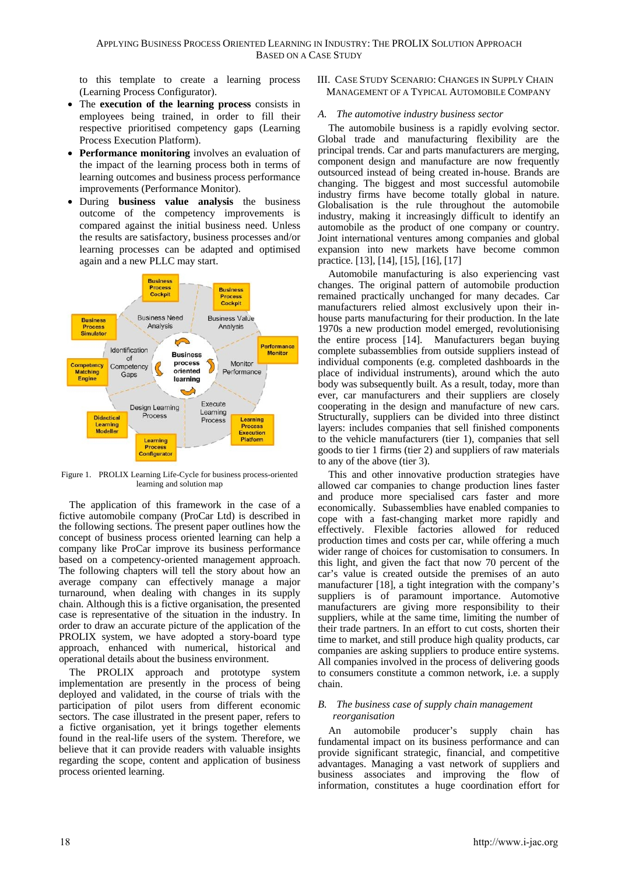to this template to create a learning process (Learning Process Configurator).

- The **execution of the learning process** consists in employees being trained, in order to fill their respective prioritised competency gaps (Learning Process Execution Platform).
- **Performance monitoring** involves an evaluation of the impact of the learning process both in terms of learning outcomes and business process performance improvements (Performance Monitor).
- During **business value analysis** the business outcome of the competency improvements is compared against the initial business need. Unless the results are satisfactory, business processes and/or learning processes can be adapted and optimised again and a new PLLC may start.



Figure 1. PROLIX Learning Life-Cycle for business process-oriented learning and solution map

The application of this framework in the case of a fictive automobile company (ProCar Ltd) is described in the following sections. The present paper outlines how the concept of business process oriented learning can help a company like ProCar improve its business performance based on a competency-oriented management approach. The following chapters will tell the story about how an average company can effectively manage a major turnaround, when dealing with changes in its supply chain. Although this is a fictive organisation, the presented case is representative of the situation in the industry. In order to draw an accurate picture of the application of the PROLIX system, we have adopted a story-board type approach, enhanced with numerical, historical and operational details about the business environment.

The PROLIX approach and prototype system implementation are presently in the process of being deployed and validated, in the course of trials with the participation of pilot users from different economic sectors. The case illustrated in the present paper, refers to a fictive organisation, yet it brings together elements found in the real-life users of the system. Therefore, we believe that it can provide readers with valuable insights regarding the scope, content and application of business process oriented learning.

III. CASE STUDY SCENARIO: CHANGES IN SUPPLY CHAIN MANAGEMENT OF A TYPICAL AUTOMOBILE COMPANY

## *A. The automotive industry business sector*

The automobile business is a rapidly evolving sector. Global trade and manufacturing flexibility are the principal trends. Car and parts manufacturers are merging, component design and manufacture are now frequently outsourced instead of being created in-house. Brands are changing. The biggest and most successful automobile industry firms have become totally global in nature. Globalisation is the rule throughout the automobile industry, making it increasingly difficult to identify an automobile as the product of one company or country. Joint international ventures among companies and global expansion into new markets have become common practice. [13], [14], [15], [16], [17]

Automobile manufacturing is also experiencing vast changes. The original pattern of automobile production remained practically unchanged for many decades. Car manufacturers relied almost exclusively upon their inhouse parts manufacturing for their production. In the late 1970s a new production model emerged, revolutionising the entire process [14]. Manufacturers began buying complete subassemblies from outside suppliers instead of individual components (e.g. completed dashboards in the place of individual instruments), around which the auto body was subsequently built. As a result, today, more than ever, car manufacturers and their suppliers are closely cooperating in the design and manufacture of new cars. Structurally, suppliers can be divided into three distinct layers: includes companies that sell finished components to the vehicle manufacturers (tier 1), companies that sell goods to tier 1 firms (tier 2) and suppliers of raw materials to any of the above (tier 3).

This and other innovative production strategies have allowed car companies to change production lines faster and produce more specialised cars faster and more economically. Subassemblies have enabled companies to cope with a fast-changing market more rapidly and effectively. Flexible factories allowed for reduced production times and costs per car, while offering a much wider range of choices for customisation to consumers. In this light, and given the fact that now 70 percent of the car's value is created outside the premises of an auto manufacturer [18], a tight integration with the company's suppliers is of paramount importance. Automotive manufacturers are giving more responsibility to their suppliers, while at the same time, limiting the number of their trade partners. In an effort to cut costs, shorten their time to market, and still produce high quality products, car companies are asking suppliers to produce entire systems. All companies involved in the process of delivering goods to consumers constitute a common network, i.e. a supply chain.

## *B. The business case of supply chain management reorganisation*

An automobile producer's supply chain has fundamental impact on its business performance and can provide significant strategic, financial, and competitive advantages. Managing a vast network of suppliers and business associates and improving the flow of information, constitutes a huge coordination effort for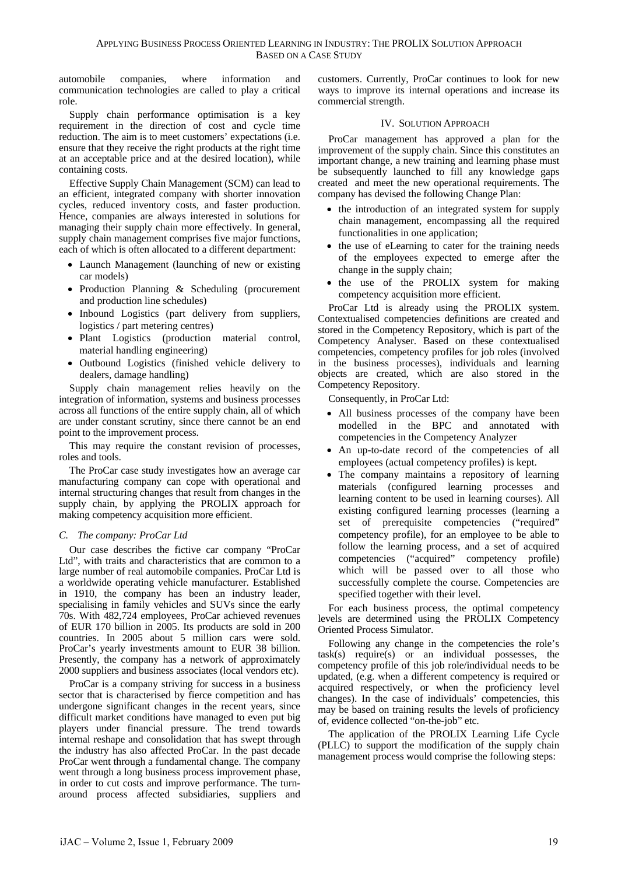automobile companies, where information and communication technologies are called to play a critical role.

Supply chain performance optimisation is a key requirement in the direction of cost and cycle time reduction. The aim is to meet customers' expectations (i.e. ensure that they receive the right products at the right time at an acceptable price and at the desired location), while containing costs.

Effective Supply Chain Management (SCM) can lead to an efficient, integrated company with shorter innovation cycles, reduced inventory costs, and faster production. Hence, companies are always interested in solutions for managing their supply chain more effectively. In general, supply chain management comprises five major functions, each of which is often allocated to a different department:

- Launch Management (launching of new or existing car models)
- Production Planning & Scheduling (procurement and production line schedules)
- Inbound Logistics (part delivery from suppliers, logistics / part metering centres)
- Plant Logistics (production material control, material handling engineering)
- Outbound Logistics (finished vehicle delivery to dealers, damage handling)

Supply chain management relies heavily on the integration of information, systems and business processes across all functions of the entire supply chain, all of which are under constant scrutiny, since there cannot be an end point to the improvement process.

This may require the constant revision of processes, roles and tools.

The ProCar case study investigates how an average car manufacturing company can cope with operational and internal structuring changes that result from changes in the supply chain, by applying the PROLIX approach for making competency acquisition more efficient.

## *C. The company: ProCar Ltd*

Our case describes the fictive car company "ProCar Ltd", with traits and characteristics that are common to a large number of real automobile companies. ProCar Ltd is a worldwide operating vehicle manufacturer. Established in 1910, the company has been an industry leader, specialising in family vehicles and SUVs since the early 70s. With 482,724 employees, ProCar achieved revenues of EUR 170 billion in 2005. Its products are sold in 200 countries. In 2005 about 5 million cars were sold. ProCar's yearly investments amount to EUR 38 billion. Presently, the company has a network of approximately 2000 suppliers and business associates (local vendors etc).

ProCar is a company striving for success in a business sector that is characterised by fierce competition and has undergone significant changes in the recent years, since difficult market conditions have managed to even put big players under financial pressure. The trend towards internal reshape and consolidation that has swept through the industry has also affected ProCar. In the past decade ProCar went through a fundamental change. The company went through a long business process improvement phase, in order to cut costs and improve performance. The turnaround process affected subsidiaries, suppliers and customers. Currently, ProCar continues to look for new ways to improve its internal operations and increase its commercial strength.

#### IV. SOLUTION APPROACH

ProCar management has approved a plan for the improvement of the supply chain. Since this constitutes an important change, a new training and learning phase must be subsequently launched to fill any knowledge gaps created and meet the new operational requirements. The company has devised the following Change Plan:

- the introduction of an integrated system for supply chain management, encompassing all the required functionalities in one application;
- the use of eLearning to cater for the training needs of the employees expected to emerge after the change in the supply chain;
- the use of the PROLIX system for making competency acquisition more efficient.

ProCar Ltd is already using the PROLIX system. Contextualised competencies definitions are created and stored in the Competency Repository, which is part of the Competency Analyser. Based on these contextualised competencies, competency profiles for job roles (involved in the business processes), individuals and learning objects are created, which are also stored in the Competency Repository.

Consequently, in ProCar Ltd:

- All business processes of the company have been modelled in the BPC and annotated with competencies in the Competency Analyzer
- An up-to-date record of the competencies of all employees (actual competency profiles) is kept.
- The company maintains a repository of learning materials (configured learning processes and learning content to be used in learning courses). All existing configured learning processes (learning a set of prerequisite competencies ("required" competency profile), for an employee to be able to follow the learning process, and a set of acquired competencies ("acquired" competency profile) which will be passed over to all those who successfully complete the course. Competencies are specified together with their level.

For each business process, the optimal competency levels are determined using the PROLIX Competency Oriented Process Simulator.

Following any change in the competencies the role's  $task(s)$  require $(s)$  or an individual possesses, the competency profile of this job role/individual needs to be updated, (e.g. when a different competency is required or acquired respectively, or when the proficiency level changes). In the case of individuals' competencies, this may be based on training results the levels of proficiency of, evidence collected "on-the-job" etc.

The application of the PROLIX Learning Life Cycle (PLLC) to support the modification of the supply chain management process would comprise the following steps: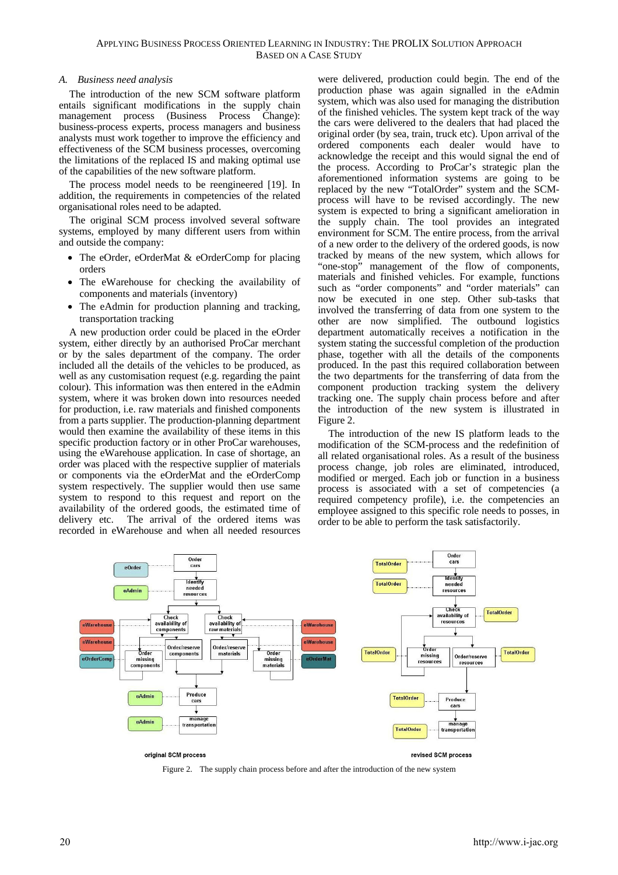#### *A. Business need analysis*

The introduction of the new SCM software platform entails significant modifications in the supply chain management process (Business Process Change): business-process experts, process managers and business analysts must work together to improve the efficiency and effectiveness of the SCM business processes, overcoming the limitations of the replaced IS and making optimal use of the capabilities of the new software platform.

The process model needs to be reengineered [19]. In addition, the requirements in competencies of the related organisational roles need to be adapted.

The original SCM process involved several software systems, employed by many different users from within and outside the company:

- The eOrder, eOrderMat & eOrderComp for placing orders
- The eWarehouse for checking the availability of components and materials (inventory)
- The eAdmin for production planning and tracking, transportation tracking

A new production order could be placed in the eOrder system, either directly by an authorised ProCar merchant or by the sales department of the company. The order included all the details of the vehicles to be produced, as well as any customisation request (e.g. regarding the paint colour). This information was then entered in the eAdmin system, where it was broken down into resources needed for production, i.e. raw materials and finished components from a parts supplier. The production-planning department would then examine the availability of these items in this specific production factory or in other ProCar warehouses, using the eWarehouse application. In case of shortage, an order was placed with the respective supplier of materials or components via the eOrderMat and the eOrderComp system respectively. The supplier would then use same system to respond to this request and report on the availability of the ordered goods, the estimated time of delivery etc. The arrival of the ordered items was recorded in eWarehouse and when all needed resources

were delivered, production could begin. The end of the production phase was again signalled in the eAdmin system, which was also used for managing the distribution of the finished vehicles. The system kept track of the way the cars were delivered to the dealers that had placed the original order (by sea, train, truck etc). Upon arrival of the ordered components each dealer would have to acknowledge the receipt and this would signal the end of the process. According to ProCar's strategic plan the aforementioned information systems are going to be replaced by the new "TotalOrder" system and the SCMprocess will have to be revised accordingly. The new system is expected to bring a significant amelioration in the supply chain. The tool provides an integrated environment for SCM. The entire process, from the arrival of a new order to the delivery of the ordered goods, is now tracked by means of the new system, which allows for "one-stop" management of the flow of components, materials and finished vehicles. For example, functions such as "order components" and "order materials" can now be executed in one step. Other sub-tasks that involved the transferring of data from one system to the other are now simplified. The outbound logistics department automatically receives a notification in the system stating the successful completion of the production phase, together with all the details of the components produced. In the past this required collaboration between the two departments for the transferring of data from the component production tracking system the delivery tracking one. The supply chain process before and after the introduction of the new system is illustrated in Figure 2.

The introduction of the new IS platform leads to the modification of the SCM-process and the redefinition of all related organisational roles. As a result of the business process change, job roles are eliminated, introduced, modified or merged. Each job or function in a business process is associated with a set of competencies (a required competency profile), i.e. the competencies an employee assigned to this specific role needs to posses, in order to be able to perform the task satisfactorily.



Figure 2. The supply chain process before and after the introduction of the new system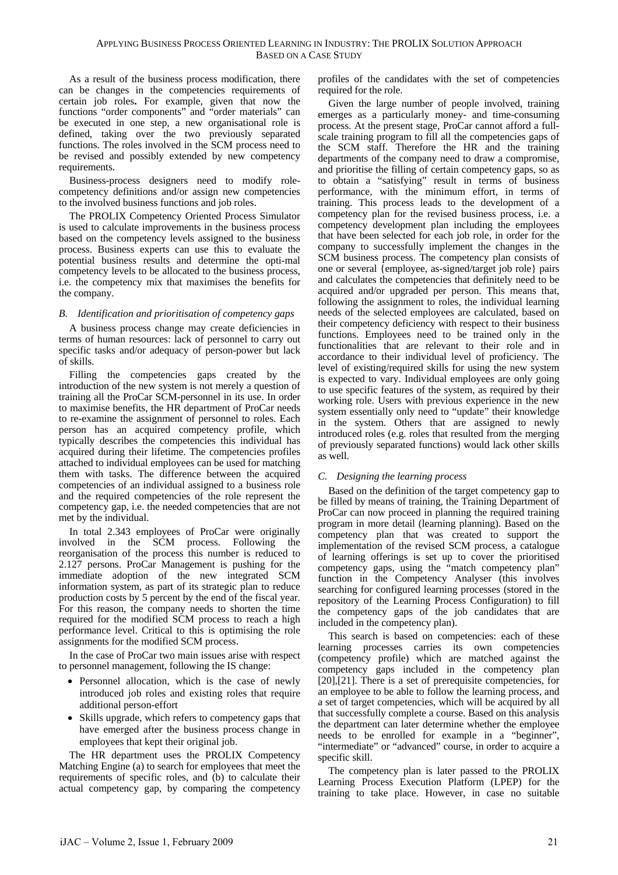As a result of the business process modification, there can be changes in the competencies requirements of certain job roles**.** For example, given that now the functions "order components" and "order materials" can be executed in one step, a new organisational role is defined, taking over the two previously separated functions. The roles involved in the SCM process need to be revised and possibly extended by new competency requirements.

Business-process designers need to modify rolecompetency definitions and/or assign new competencies to the involved business functions and job roles.

The PROLIX Competency Oriented Process Simulator is used to calculate improvements in the business process based on the competency levels assigned to the business process. Business experts can use this to evaluate the potential business results and determine the opti-mal competency levels to be allocated to the business process, i.e. the competency mix that maximises the benefits for the company.

## *B. Identification and prioritisation of competency gaps*

A business process change may create deficiencies in terms of human resources: lack of personnel to carry out specific tasks and/or adequacy of person-power but lack of skills.

Filling the competencies gaps created by the introduction of the new system is not merely a question of training all the ProCar SCM-personnel in its use. In order to maximise benefits, the HR department of ProCar needs to re-examine the assignment of personnel to roles. Each person has an acquired competency profile, which typically describes the competencies this individual has acquired during their lifetime. The competencies profiles attached to individual employees can be used for matching them with tasks. The difference between the acquired competencies of an individual assigned to a business role and the required competencies of the role represent the competency gap, i.e. the needed competencies that are not met by the individual.

In total 2.343 employees of ProCar were originally involved in the SCM process. Following the reorganisation of the process this number is reduced to 2.127 persons. ProCar Management is pushing for the immediate adoption of the new integrated SCM information system, as part of its strategic plan to reduce production costs by 5 percent by the end of the fiscal year. For this reason, the company needs to shorten the time required for the modified SCM process to reach a high performance level. Critical to this is optimising the role assignments for the modified SCM process.

In the case of ProCar two main issues arise with respect to personnel management, following the IS change:

- Personnel allocation, which is the case of newly introduced job roles and existing roles that require additional person-effort
- Skills upgrade, which refers to competency gaps that have emerged after the business process change in employees that kept their original job.

The HR department uses the PROLIX Competency Matching Engine (a) to search for employees that meet the requirements of specific roles, and (b) to calculate their actual competency gap, by comparing the competency

profiles of the candidates with the set of competencies required for the role.

Given the large number of people involved, training emerges as a particularly money- and time-consuming process. At the present stage, ProCar cannot afford a fullscale training program to fill all the competencies gaps of the SCM staff. Therefore the HR and the training departments of the company need to draw a compromise, and prioritise the filling of certain competency gaps, so as to obtain a "satisfying" result in terms of business performance, with the minimum effort, in terms of training. This process leads to the development of a competency plan for the revised business process, i.e. a competency development plan including the employees that have been selected for each job role, in order for the company to successfully implement the changes in the SCM business process. The competency plan consists of one or several {employee, as-signed/target job role} pairs and calculates the competencies that definitely need to be acquired and/or upgraded per person. This means that, following the assignment to roles, the individual learning needs of the selected employees are calculated, based on their competency deficiency with respect to their business functions. Employees need to be trained only in the functionalities that are relevant to their role and in accordance to their individual level of proficiency. The level of existing/required skills for using the new system is expected to vary. Individual employees are only going to use specific features of the system, as required by their working role. Users with previous experience in the new system essentially only need to "update" their knowledge in the system. Others that are assigned to newly introduced roles (e.g. roles that resulted from the merging of previously separated functions) would lack other skills as well.

## *C. Designing the learning process*

Based on the definition of the target competency gap to be filled by means of training, the Training Department of ProCar can now proceed in planning the required training program in more detail (learning planning). Based on the competency plan that was created to support the implementation of the revised SCM process, a catalogue of learning offerings is set up to cover the prioritised competency gaps, using the "match competency plan" function in the Competency Analyser (this involves searching for configured learning processes (stored in the repository of the Learning Process Configuration) to fill the competency gaps of the job candidates that are included in the competency plan).

This search is based on competencies: each of these learning processes carries its own competencies (competency profile) which are matched against the competency gaps included in the competency plan [20],[21]. There is a set of prerequisite competencies, for an employee to be able to follow the learning process, and a set of target competencies, which will be acquired by all that successfully complete a course. Based on this analysis the department can later determine whether the employee needs to be enrolled for example in a "beginner", "intermediate" or "advanced" course, in order to acquire a specific skill.

The competency plan is later passed to the PROLIX Learning Process Execution Platform (LPEP) for the training to take place. However, in case no suitable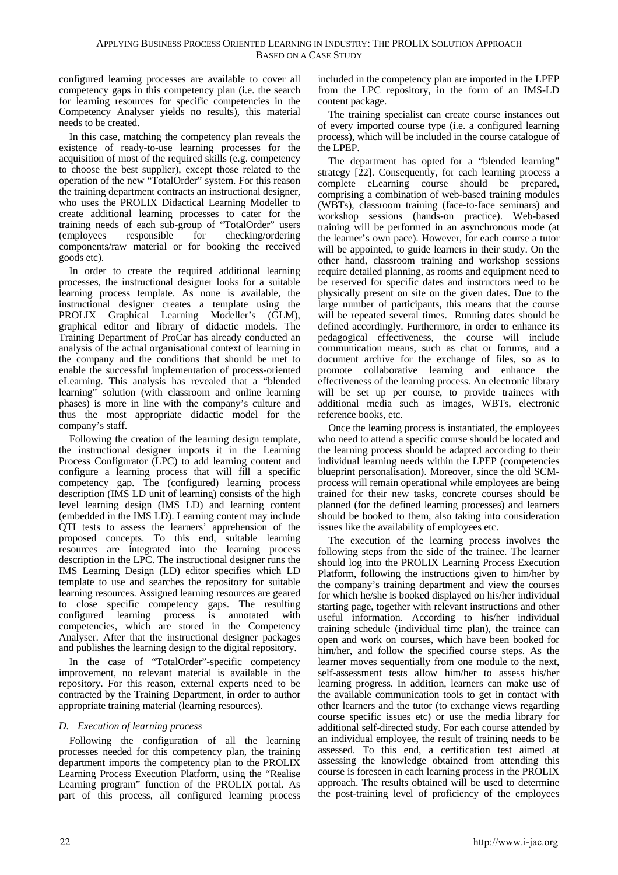configured learning processes are available to cover all competency gaps in this competency plan (i.e. the search for learning resources for specific competencies in the Competency Analyser yields no results), this material needs to be created.

In this case, matching the competency plan reveals the existence of ready-to-use learning processes for the acquisition of most of the required skills (e.g. competency to choose the best supplier), except those related to the operation of the new "TotalOrder" system. For this reason the training department contracts an instructional designer, who uses the PROLIX Didactical Learning Modeller to create additional learning processes to cater for the training needs of each sub-group of "TotalOrder" users (employees responsible for checking/ordering components/raw material or for booking the received goods etc).

In order to create the required additional learning processes, the instructional designer looks for a suitable learning process template. As none is available, the instructional designer creates a template using the PROLIX Graphical Learning Modeller's (GLM), graphical editor and library of didactic models. The Training Department of ProCar has already conducted an analysis of the actual organisational context of learning in the company and the conditions that should be met to enable the successful implementation of process-oriented eLearning. This analysis has revealed that a "blended learning" solution (with classroom and online learning phases) is more in line with the company's culture and thus the most appropriate didactic model for the company's staff.

Following the creation of the learning design template, the instructional designer imports it in the Learning Process Configurator (LPC) to add learning content and configure a learning process that will fill a specific competency gap. The (configured) learning process description (IMS LD unit of learning) consists of the high level learning design (IMS LD) and learning content (embedded in the IMS LD). Learning content may include QTI tests to assess the learners' apprehension of the proposed concepts. To this end, suitable learning resources are integrated into the learning process description in the LPC. The instructional designer runs the IMS Learning Design (LD) editor specifies which LD template to use and searches the repository for suitable learning resources. Assigned learning resources are geared to close specific competency gaps. The resulting configured learning process is annotated with competencies, which are stored in the Competency Analyser. After that the instructional designer packages and publishes the learning design to the digital repository.

In the case of "TotalOrder"-specific competency improvement, no relevant material is available in the repository. For this reason, external experts need to be contracted by the Training Department, in order to author appropriate training material (learning resources).

## *D. Execution of learning process*

Following the configuration of all the learning processes needed for this competency plan, the training department imports the competency plan to the PROLIX Learning Process Execution Platform, using the "Realise Learning program" function of the PROLIX portal. As part of this process, all configured learning process

included in the competency plan are imported in the LPEP from the LPC repository, in the form of an IMS-LD content package.

The training specialist can create course instances out of every imported course type (i.e. a configured learning process), which will be included in the course catalogue of the LPEP.

The department has opted for a "blended learning" strategy [22]. Consequently, for each learning process a complete eLearning course should be prepared, comprising a combination of web-based training modules (WBTs), classroom training (face-to-face seminars) and workshop sessions (hands-on practice). Web-based training will be performed in an asynchronous mode (at the learner's own pace). However, for each course a tutor will be appointed, to guide learners in their study. On the other hand, classroom training and workshop sessions require detailed planning, as rooms and equipment need to be reserved for specific dates and instructors need to be physically present on site on the given dates. Due to the large number of participants, this means that the course will be repeated several times. Running dates should be defined accordingly. Furthermore, in order to enhance its pedagogical effectiveness, the course will include communication means, such as chat or forums, and a document archive for the exchange of files, so as to promote collaborative learning and enhance the effectiveness of the learning process. An electronic library will be set up per course, to provide trainees with additional media such as images, WBTs, electronic reference books, etc.

Once the learning process is instantiated, the employees who need to attend a specific course should be located and the learning process should be adapted according to their individual learning needs within the LPEP (competencies blueprint personalisation). Moreover, since the old SCMprocess will remain operational while employees are being trained for their new tasks, concrete courses should be planned (for the defined learning processes) and learners should be booked to them, also taking into consideration issues like the availability of employees etc.

The execution of the learning process involves the following steps from the side of the trainee. The learner should log into the PROLIX Learning Process Execution Platform, following the instructions given to him/her by the company's training department and view the courses for which he/she is booked displayed on his/her individual starting page, together with relevant instructions and other useful information. According to his/her individual training schedule (individual time plan), the trainee can open and work on courses, which have been booked for him/her, and follow the specified course steps. As the learner moves sequentially from one module to the next, self-assessment tests allow him/her to assess his/her learning progress. In addition, learners can make use of the available communication tools to get in contact with other learners and the tutor (to exchange views regarding course specific issues etc) or use the media library for additional self-directed study. For each course attended by an individual employee, the result of training needs to be assessed. To this end, a certification test aimed at assessing the knowledge obtained from attending this course is foreseen in each learning process in the PROLIX approach. The results obtained will be used to determine the post-training level of proficiency of the employees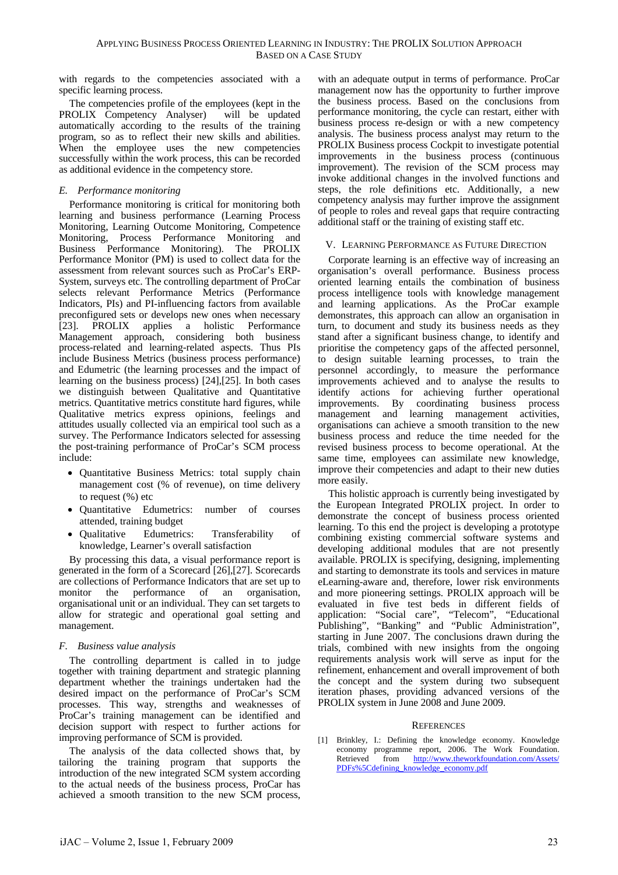with regards to the competencies associated with a specific learning process.

The competencies profile of the employees (kept in the PROLIX Competency Analyser) will be updated automatically according to the results of the training program, so as to reflect their new skills and abilities. When the employee uses the new competencies successfully within the work process, this can be recorded as additional evidence in the competency store.

# *E. Performance monitoring*

Performance monitoring is critical for monitoring both learning and business performance (Learning Process Monitoring, Learning Outcome Monitoring, Competence Monitoring, Process Performance Monitoring and Business Performance Monitoring). The PROLIX Performance Monitor (PM) is used to collect data for the assessment from relevant sources such as ProCar's ERP-System, surveys etc. The controlling department of ProCar selects relevant Performance Metrics (Performance Indicators, PIs) and PI-influencing factors from available preconfigured sets or develops new ones when necessary [23]. PROLIX applies a holistic Performance Management approach, considering both business process-related and learning-related aspects. Thus PIs include Business Metrics (business process performance) and Edumetric (the learning processes and the impact of learning on the business process) [24],[25]. In both cases we distinguish between Qualitative and Quantitative metrics. Quantitative metrics constitute hard figures, while Qualitative metrics express opinions, feelings and attitudes usually collected via an empirical tool such as a survey. The Performance Indicators selected for assessing the post-training performance of ProCar's SCM process include:

- Quantitative Business Metrics: total supply chain management cost (% of revenue), on time delivery to request (%) etc
- Quantitative Edumetrics: number of courses attended, training budget
- Qualitative Edumetrics: Transferability of knowledge, Learner's overall satisfaction

By processing this data, a visual performance report is generated in the form of a Scorecard [26],[27]. Scorecards are collections of Performance Indicators that are set up to monitor the performance of an organisation, organisational unit or an individual. They can set targets to allow for strategic and operational goal setting and management.

## *F. Business value analysis*

The controlling department is called in to judge together with training department and strategic planning department whether the trainings undertaken had the desired impact on the performance of ProCar's SCM processes. This way, strengths and weaknesses of ProCar's training management can be identified and decision support with respect to further actions for improving performance of SCM is provided.

The analysis of the data collected shows that, by tailoring the training program that supports the introduction of the new integrated SCM system according to the actual needs of the business process, ProCar has achieved a smooth transition to the new SCM process,

with an adequate output in terms of performance. ProCar management now has the opportunity to further improve the business process. Based on the conclusions from performance monitoring, the cycle can restart, either with business process re-design or with a new competency analysis. The business process analyst may return to the PROLIX Business process Cockpit to investigate potential improvements in the business process (continuous improvement). The revision of the SCM process may invoke additional changes in the involved functions and steps, the role definitions etc. Additionally, a new competency analysis may further improve the assignment of people to roles and reveal gaps that require contracting additional staff or the training of existing staff etc.

## V. LEARNING PERFORMANCE AS FUTURE DIRECTION

Corporate learning is an effective way of increasing an organisation's overall performance. Business process oriented learning entails the combination of business process intelligence tools with knowledge management and learning applications. As the ProCar example demonstrates, this approach can allow an organisation in turn, to document and study its business needs as they stand after a significant business change, to identify and prioritise the competency gaps of the affected personnel, to design suitable learning processes, to train the personnel accordingly, to measure the performance improvements achieved and to analyse the results to identify actions for achieving further operational improvements. By coordinating business process management and learning management activities, organisations can achieve a smooth transition to the new business process and reduce the time needed for the revised business process to become operational. At the same time, employees can assimilate new knowledge, improve their competencies and adapt to their new duties more easily.

This holistic approach is currently being investigated by the European Integrated PROLIX project. In order to demonstrate the concept of business process oriented learning. To this end the project is developing a prototype combining existing commercial software systems and developing additional modules that are not presently available. PROLIX is specifying, designing, implementing and starting to demonstrate its tools and services in mature eLearning-aware and, therefore, lower risk environments and more pioneering settings. PROLIX approach will be evaluated in five test beds in different fields of application: "Social care", "Telecom", "Educational Publishing", "Banking" and "Public Administration", starting in June 2007. The conclusions drawn during the trials, combined with new insights from the ongoing requirements analysis work will serve as input for the refinement, enhancement and overall improvement of both the concept and the system during two subsequent iteration phases, providing advanced versions of the PROLIX system in June 2008 and June 2009.

## **REFERENCES**

[1] Brinkley, I.: Defining the knowledge economy. Knowledge economy programme report, 2006. The Work Foundation. Retrieved from [http://www.theworkfoundation.com/Assets/](http://www.theworkfoundation.com/Assets/PDFs%5Cdefining_knowledge_economy.pdf) [PDFs%5Cdefining\\_knowledge\\_economy.pdf](http://www.theworkfoundation.com/Assets/PDFs%5Cdefining_knowledge_economy.pdf)